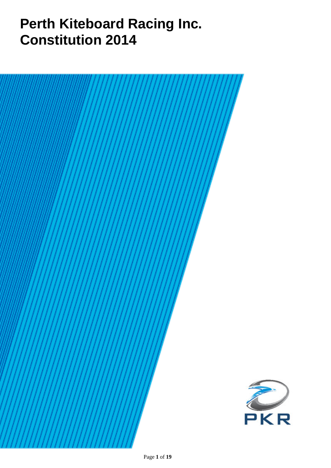# **Perth Kiteboard Racing Inc. Constitution 2014**

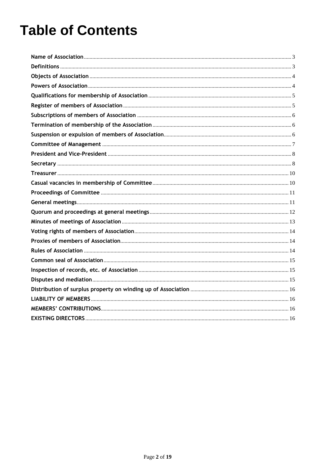# **Table of Contents**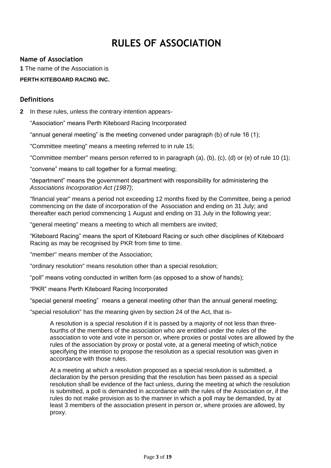# **RULES OF ASSOCIATION**

#### <span id="page-2-0"></span>**Name of Association**

**1** The name of the Association is

#### **PERTH KITEBOARD RACING INC.**

#### <span id="page-2-1"></span>**Definitions**

**2** In these rules, unless the contrary intention appears-

"Association" means Perth Kiteboard Racing Incorporated

"annual general meeting" is the meeting convened under paragraph (b) of rule 16 (1);

"Committee meeting" means a meeting referred to in rule 15;

"Committee member" means person referred to in paragraph (a), (b), (c), (d) or (e) of rule 10 (1);

"convene" means to call together for a formal meeting;

"department" means the government department with responsibility for administering the *Associations Incorporation Act (1987)*;

"financial year" means a period not exceeding 12 months fixed by the Committee, being a period commencing on the date of incorporation of the Association and ending on 31 July; and thereafter each period commencing 1 August and ending on 31 July in the following year;

"general meeting" means a meeting to which all members are invited;

"Kiteboard Racing" means the sport of Kiteboard Racing or such other disciplines of Kiteboard Racing as may be recognised by PKR from time to time.

"member" means member of the Association;

"ordinary resolution" means resolution other than a special resolution;

"poll" means voting conducted in written form (as opposed to a show of hands);

"PKR" means Perth Kiteboard Racing Incorporated

"special general meeting" means a general meeting other than the annual general meeting;

"special resolution" has the meaning given by section 24 of the Act, that is-

A resolution is a special resolution if it is passed by a majority of not less than threefourths of the members of the association who are entitled under the rules of the association to vote and vote in person or, where proxies or postal votes are allowed by the rules of the association by proxy or postal vote, at a general meeting of which notice specifying the intention to propose the resolution as a special resolution was given in accordance with those rules.

At a meeting at which a resolution proposed as a special resolution is submitted, a declaration by the person presiding that the resolution has been passed as a special resolution shall be evidence of the fact unless, during the meeting at which the resolution is submitted, a poll is demanded in accordance with the rules of the Association or, if the rules do not make provision as to the manner in which a poll may be demanded, by at least 3 members of the association present in person or, where proxies are allowed, by proxy.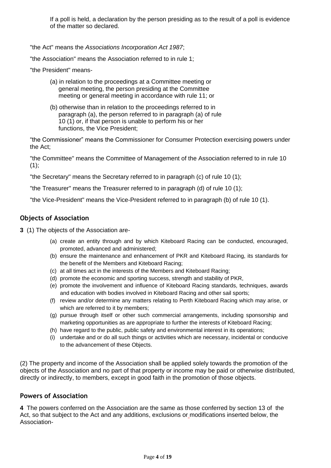If a poll is held, a declaration by the person presiding as to the result of a poll is evidence of the matter so declared.

"the Act" means the *Associations Incorporation Act 1987*;

"the Association" means the Association referred to in rule 1;

"the President" means-

- (a) in relation to the proceedings at a Committee meeting or general meeting, the person presiding at the Committee meeting or general meeting in accordance with rule 11; or
- (b) otherwise than in relation to the proceedings referred to in paragraph (a), the person referred to in paragraph (a) of rule 10 (1) or, if that person is unable to perform his or her functions, the Vice President;

"the Commissioner" means the Commissioner for Consumer Protection exercising powers under the Act;

"the Committee" means the Committee of Management of the Association referred to in rule 10  $(1);$ 

"the Secretary" means the Secretary referred to in paragraph (c) of rule 10 (1);

"the Treasurer" means the Treasurer referred to in paragraph (d) of rule 10 (1);

"the Vice-President" means the Vice-President referred to in paragraph (b) of rule 10 (1).

#### <span id="page-3-0"></span>**Objects of Association**

**3** (1) The objects of the Association are-

- (a) create an entity through and by which Kiteboard Racing can be conducted, encouraged, promoted, advanced and administered;
- (b) ensure the maintenance and enhancement of PKR and Kiteboard Racing, its standards for the benefit of the Members and Kiteboard Racing;
- (c) at all times act in the interests of the Members and Kiteboard Racing;
- (d) promote the economic and sporting success, strength and stability of PKR,
- (e) promote the involvement and influence of Kiteboard Racing standards, techniques, awards and education with bodies involved in Kiteboard Racing and other sail sports;
- (f) review and/or determine any matters relating to Perth Kiteboard Racing which may arise, or which are referred to it by members:
- (g) pursue through itself or other such commercial arrangements, including sponsorship and marketing opportunities as are appropriate to further the interests of Kiteboard Racing;
- (h) have regard to the public, public safety and environmental interest in its operations;
- (i) undertake and or do all such things or activities which are necessary, incidental or conducive to the advancement of these Objects.

(2) The property and income of the Association shall be applied solely towards the promotion of the objects of the Association and no part of that property or income may be paid or otherwise distributed, directly or indirectly, to members, except in good faith in the promotion of those objects.

#### <span id="page-3-1"></span>**Powers of Association**

**4** The powers conferred on the Association are the same as those conferred by section 13 of the Act, so that subject to the Act and any additions, exclusions or modifications inserted below, the Association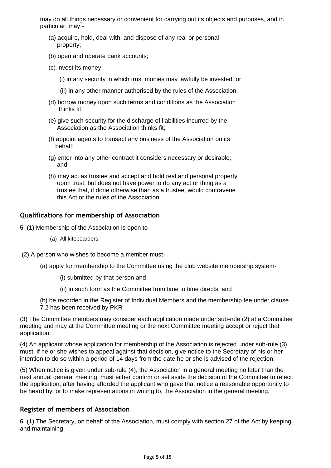may do all things necessary or convenient for carrying out its objects and purposes, and in particular, may -

- (a) acquire, hold, deal with, and dispose of any real or personal property;
- (b) open and operate bank accounts;
- (c) invest its money
	- (i) in any security in which trust monies may lawfully be invested; or
	- (ii) in any other manner authorised by the rules of the Association;
- (d) borrow money upon such terms and conditions as the Association thinks fit;
- (e) give such security for the discharge of liabilities incurred by the Association as the Association thinks fit;
- (f) appoint agents to transact any business of the Association on its behalf;
- (g) enter into any other contract it considers necessary or desirable; and
- (h) may act as trustee and accept and hold real and personal property upon trust, but does not have power to do any act or thing as a trustee that, if done otherwise than as a trustee, would contravene this Act or the rules of the Association.

#### <span id="page-4-0"></span>**Qualifications for membership of Association**

- **5** (1) Membership of the Association is open to-
	- (a) All kiteboarders
- (2) A person who wishes to become a member must-
	- (a) apply for membership to the Committee using the club website membership system-
		- (i) submitted by that person and
		- (ii) in such form as the Committee from time to time directs; and

(b) be recorded in the Register of Individual Members and the membership fee under clause 7.2 has been received by PKR

(3) The Committee members may consider each application made under sub-rule (2) at a Committee meeting and may at the Committee meeting or the next Committee meeting accept or reject that application.

(4) An applicant whose application for membership of the Association is rejected under sub-rule (3) must, if he or she wishes to appeal against that decision, give notice to the Secretary of his or her intention to do so within a period of 14 days from the date he or she is advised of the rejection.

(5) When notice is given under sub-rule (4), the Association in a general meeting no later than the next annual general meeting, must either confirm or set aside the decision of the Committee to reject the application, after having afforded the applicant who gave that notice a reasonable opportunity to be heard by, or to make representations in writing to, the Association in the general meeting.

#### <span id="page-4-1"></span>**Register of members of Association**

**6** (1) The Secretary, on behalf of the Association, must comply with section 27 of the Act by keeping and maintaining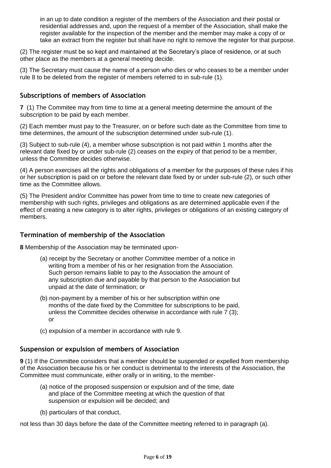in an up to date condition a register of the members of the Association and their postal or residential addresses and, upon the request of a member of the Association, shall make the register available for the inspection of the member and the member may make a copy of or take an extract from the register but shall have no right to remove the register for that purpose.

(2) The register must be so kept and maintained at the Secretary's place of residence, or at such other place as the members at a general meeting decide.

(3) The Secretary must cause the name of a person who dies or who ceases to be a member under rule 8 to be deleted from the register of members referred to in sub-rule (1).

#### <span id="page-5-0"></span>**Subscriptions of members of Association**

**7** (1) The Commitee may from time to time at a general meeting determine the amount of the subscription to be paid by each member.

(2) Each member must pay to the Treasurer, on or before such date as the Committee from time to time determines, the amount of the subscription determined under sub-rule (1).

(3) Subject to sub-rule (4), a member whose subscription is not paid within 1 months after the relevant date fixed by or under sub-rule (2) ceases on the expiry of that period to be a member, unless the Committee decides otherwise.

(4) A person exercises all the rights and obligations of a member for the purposes of these rules if his or her subscription is paid on or before the relevant date fixed by or under sub-rule (2), or such other time as the Committee allows.

(5) The President and/or Committee has power from time to time to create new categories of membership with such rights, privileges and obligations as are determined applicable even if the effect of creating a new category is to alter rights, privileges or obligations of an existing category of members.

#### <span id="page-5-1"></span>**Termination of membership of the Association**

**8** Membership of the Association may be terminated upon-

- (a) receipt by the Secretary or another Committee member of a notice in writing from a member of his or her resignation from the Association. Such person remains liable to pay to the Association the amount of any subscription due and payable by that person to the Association but unpaid at the date of termination; or
- (b) non-payment by a member of his or her subscription within one months of the date fixed by the Committee for subscriptions to be paid, unless the Committee decides otherwise in accordance with rule 7 (3); or
- (c) expulsion of a member in accordance with rule 9.

#### <span id="page-5-2"></span>**Suspension or expulsion of members of Association**

**9** (1) If the Committee considers that a member should be suspended or expelled from membership of the Association because his or her conduct is detrimental to the interests of the Association, the Committee must communicate, either orally or in writing, to the member-

- (a) notice of the proposed suspension or expulsion and of the time, date and place of the Committee meeting at which the question of that suspension or expulsion will be decided; and
- (b) particulars of that conduct,

not less than 30 days before the date of the Committee meeting referred to in paragraph (a).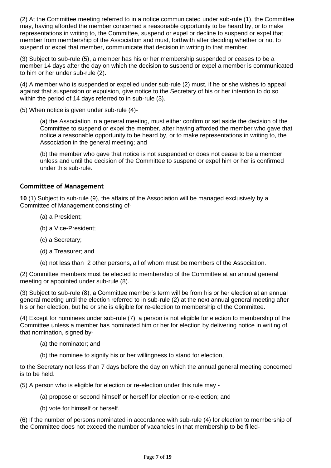(2) At the Committee meeting referred to in a notice communicated under sub-rule (1), the Committee may, having afforded the member concerned a reasonable opportunity to be heard by, or to make representations in writing to, the Committee, suspend or expel or decline to suspend or expel that member from membership of the Association and must, forthwith after deciding whether or not to suspend or expel that member, communicate that decision in writing to that member.

(3) Subject to sub-rule (5), a member has his or her membership suspended or ceases to be a member 14 days after the day on which the decision to suspend or expel a member is communicated to him or her under sub-rule (2).

(4) A member who is suspended or expelled under sub-rule (2) must, if he or she wishes to appeal against that suspension or expulsion, give notice to the Secretary of his or her intention to do so within the period of 14 days referred to in sub-rule (3).

(5) When notice is given under sub-rule (4)-

(a) the Association in a general meeting, must either confirm or set aside the decision of the Committee to suspend or expel the member, after having afforded the member who gave that notice a reasonable opportunity to be heard by, or to make representations in writing to, the Association in the general meeting; and

(b) the member who gave that notice is not suspended or does not cease to be a member unless and until the decision of the Committee to suspend or expel him or her is confirmed under this sub-rule.

#### <span id="page-6-0"></span>**Committee of Management**

**10** (1) Subject to sub-rule (9), the affairs of the Association will be managed exclusively by a Committee of Management consisting of-

- (a) a President;
- (b) a Vice-President;
- (c) a Secretary;
- (d) a Treasurer; and
- (e) not less than 2 other persons, all of whom must be members of the Association.

(2) Committee members must be elected to membership of the Committee at an annual general meeting or appointed under sub-rule (8).

(3) Subject to sub-rule (8), a Committee member's term will be from his or her election at an annual general meeting until the election referred to in sub-rule (2) at the next annual general meeting after his or her election, but he or she is eligible for re-election to membership of the Committee.

(4) Except for nominees under sub-rule (7), a person is not eligible for election to membership of the Committee unless a member has nominated him or her for election by delivering notice in writing of that nomination, signed by-

- (a) the nominator; and
- (b) the nominee to signify his or her willingness to stand for election,

to the Secretary not less than 7 days before the day on which the annual general meeting concerned is to be held.

(5) A person who is eligible for election or re-election under this rule may -

- (a) propose or second himself or herself for election or re-election; and
- (b) vote for himself or herself.

(6) If the number of persons nominated in accordance with sub-rule (4) for election to membership of the Committee does not exceed the number of vacancies in that membership to be filled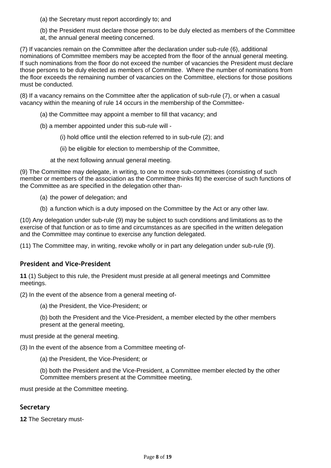(a) the Secretary must report accordingly to; and

(b) the President must declare those persons to be duly elected as members of the Committee at, the annual general meeting concerned.

(7) If vacancies remain on the Committee after the declaration under sub-rule (6), additional nominations of Committee members may be accepted from the floor of the annual general meeting. If such nominations from the floor do not exceed the number of vacancies the President must declare those persons to be duly elected as members of Committee. Where the number of nominations from the floor exceeds the remaining number of vacancies on the Committee, elections for those positions must be conducted.

(8) If a vacancy remains on the Committee after the application of sub-rule (7), or when a casual vacancy within the meaning of rule 14 occurs in the membership of the Committee-

- (a) the Committee may appoint a member to fill that vacancy; and
- (b) a member appointed under this sub-rule will
	- (i) hold office until the election referred to in sub-rule (2); and
	- (ii) be eligible for election to membership of the Committee,
	- at the next following annual general meeting.

(9) The Committee may delegate, in writing, to one to more sub-committees (consisting of such member or members of the association as the Committee thinks fit) the exercise of such functions of the Committee as are specified in the delegation other than-

- (a) the power of delegation; and
- (b) a function which is a duty imposed on the Committee by the Act or any other law.

(10) Any delegation under sub-rule (9) may be subject to such conditions and limitations as to the exercise of that function or as to time and circumstances as are specified in the written delegation and the Committee may continue to exercise any function delegated.

(11) The Committee may, in writing, revoke wholly or in part any delegation under sub-rule (9).

#### <span id="page-7-0"></span>**President and Vice-President**

**11** (1) Subject to this rule, the President must preside at all general meetings and Committee meetings.

(2) In the event of the absence from a general meeting of-

(a) the President, the Vice-President; or

(b) both the President and the Vice-President, a member elected by the other members present at the general meeting,

must preside at the general meeting.

(3) In the event of the absence from a Committee meeting of-

(a) the President, the Vice-President; or

(b) both the President and the Vice-President, a Committee member elected by the other Committee members present at the Committee meeting,

must preside at the Committee meeting.

#### <span id="page-7-1"></span>**Secretary**

**12** The Secretary must-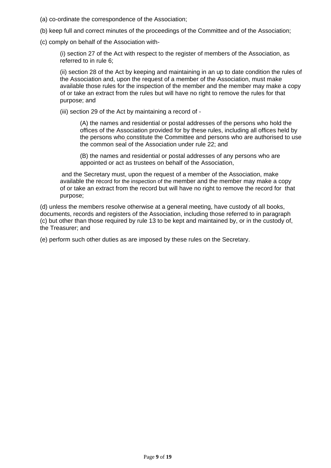- (a) co-ordinate the correspondence of the Association;
- (b) keep full and correct minutes of the proceedings of the Committee and of the Association;
- (c) comply on behalf of the Association with-

(i) section 27 of the Act with respect to the register of members of the Association, as referred to in rule 6;

(ii) section 28 of the Act by keeping and maintaining in an up to date condition the rules of the Association and, upon the request of a member of the Association, must make available those rules for the inspection of the member and the member may make a copy of or take an extract from the rules but will have no right to remove the rules for that purpose; and

(iii) section 29 of the Act by maintaining a record of -

(A) the names and residential or postal addresses of the persons who hold the offices of the Association provided for by these rules, including all offices held by the persons who constitute the Committee and persons who are authorised to use the common seal of the Association under rule 22; and

(B) the names and residential or postal addresses of any persons who are appointed or act as trustees on behalf of the Association,

and the Secretary must, upon the request of a member of the Association, make available the record for the inspection of the member and the member may make a copy of or take an extract from the record but will have no right to remove the record for that purpose;

(d) unless the members resolve otherwise at a general meeting, have custody of all books, documents, records and registers of the Association, including those referred to in paragraph (c) but other than those required by rule 13 to be kept and maintained by, or in the custody of, the Treasurer; and

(e) perform such other duties as are imposed by these rules on the Secretary.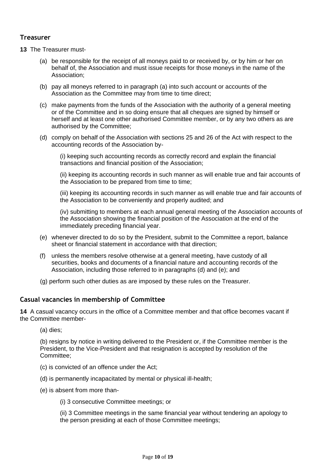#### <span id="page-9-0"></span>**Treasurer**

- **13** The Treasurer must-
	- (a) be responsible for the receipt of all moneys paid to or received by, or by him or her on behalf of, the Association and must issue receipts for those moneys in the name of the Association;
	- (b) pay all moneys referred to in paragraph (a) into such account or accounts of the Association as the Committee may from time to time direct;
	- (c) make payments from the funds of the Association with the authority of a general meeting or of the Committee and in so doing ensure that all cheques are signed by himself or herself and at least one other authorised Committee member, or by any two others as are authorised by the Committee;
	- (d) comply on behalf of the Association with sections 25 and 26 of the Act with respect to the accounting records of the Association by-

(i) keeping such accounting records as correctly record and explain the financial transactions and financial position of the Association;

(ii) keeping its accounting records in such manner as will enable true and fair accounts of the Association to be prepared from time to time;

(iii) keeping its accounting records in such manner as will enable true and fair accounts of the Association to be conveniently and properly audited; and

(iv) submitting to members at each annual general meeting of the Association accounts of the Association showing the financial position of the Association at the end of the immediately preceding financial year.

- (e) whenever directed to do so by the President, submit to the Committee a report, balance sheet or financial statement in accordance with that direction;
- (f) unless the members resolve otherwise at a general meeting, have custody of all securities, books and documents of a financial nature and accounting records of the Association, including those referred to in paragraphs (d) and (e); and
- (g) perform such other duties as are imposed by these rules on the Treasurer.

#### <span id="page-9-1"></span>**Casual vacancies in membership of Committee**

**14** A casual vacancy occurs in the office of a Committee member and that office becomes vacant if the Committee member-

(a) dies;

(b) resigns by notice in writing delivered to the President or, if the Committee member is the President, to the Vice-President and that resignation is accepted by resolution of the Committee;

- (c) is convicted of an offence under the Act;
- (d) is permanently incapacitated by mental or physical ill-health;
- (e) is absent from more than-

(i) 3 consecutive Committee meetings; or

(ii) 3 Committee meetings in the same financial year without tendering an apology to the person presiding at each of those Committee meetings;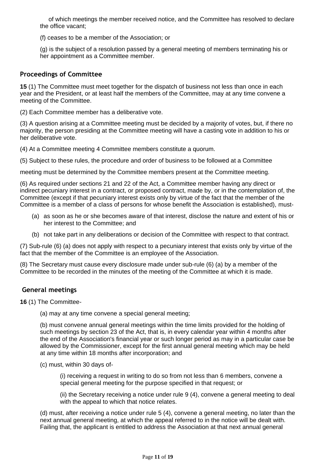of which meetings the member received notice, and the Committee has resolved to declare the office vacant;

(f) ceases to be a member of the Association; or

(g) is the subject of a resolution passed by a general meeting of members terminating his or her appointment as a Committee member.

#### <span id="page-10-0"></span>**Proceedings of Committee**

**15** (1) The Committee must meet together for the dispatch of business not less than once in each year and the President, or at least half the members of the Committee, may at any time convene a meeting of the Committee.

(2) Each Committee member has a deliberative vote.

(3) A question arising at a Committee meeting must be decided by a majority of votes, but, if there no majority, the person presiding at the Committee meeting will have a casting vote in addition to his or her deliberative vote.

(4) At a Committee meeting 4 Committee members constitute a quorum.

(5) Subject to these rules, the procedure and order of business to be followed at a Committee

meeting must be determined by the Committee members present at the Committee meeting.

(6) As required under sections 21 and 22 of the Act, a Committee member having any direct or indirect pecuniary interest in a contract, or proposed contract, made by, or in the contemplation of, the Committee (except if that pecuniary interest exists only by virtue of the fact that the member of the Committee is a member of a class of persons for whose benefit the Association is established), must-

- (a) as soon as he or she becomes aware of that interest, disclose the nature and extent of his or her interest to the Committee; and
- (b) not take part in any deliberations or decision of the Committee with respect to that contract.

(7) Sub-rule (6) (a) does not apply with respect to a pecuniary interest that exists only by virtue of the fact that the member of the Committee is an employee of the Association.

(8) The Secretary must cause every disclosure made under sub-rule (6) (a) by a member of the Committee to be recorded in the minutes of the meeting of the Committee at which it is made.

#### <span id="page-10-1"></span>**General meetings**

**16** (1) The Committee-

(a) may at any time convene a special general meeting;

(b) must convene annual general meetings within the time limits provided for the holding of such meetings by section 23 of the Act, that is, in every calendar year within 4 months after the end of the Association's financial year or such longer period as may in a particular case be allowed by the Commissioner, except for the first annual general meeting which may be held at any time within 18 months after incorporation; and

(c) must, within 30 days of-

(i) receiving a request in writing to do so from not less than 6 members, convene a special general meeting for the purpose specified in that request; or

(ii) the Secretary receiving a notice under rule 9 (4), convene a general meeting to deal with the appeal to which that notice relates.

(d) must, after receiving a notice under rule 5 (4), convene a general meeting, no later than the next annual general meeting, at which the appeal referred to in the notice will be dealt with. Failing that, the applicant is entitled to address the Association at that next annual general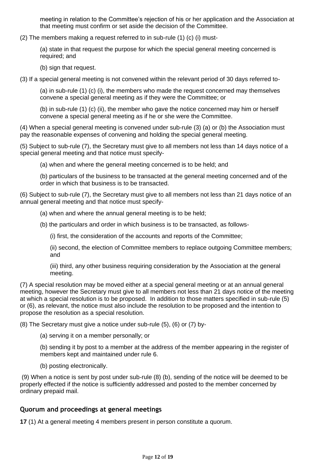meeting in relation to the Committee's rejection of his or her application and the Association at that meeting must confirm or set aside the decision of the Committee.

(2) The members making a request referred to in sub-rule (1) (c) (i) must-

(a) state in that request the purpose for which the special general meeting concerned is required; and

(b) sign that request.

(3) If a special general meeting is not convened within the relevant period of 30 days referred to-

(a) in sub-rule (1) (c) (i), the members who made the request concerned may themselves convene a special general meeting as if they were the Committee; or

(b) in sub-rule (1) (c) (ii), the member who gave the notice concerned may him or herself convene a special general meeting as if he or she were the Committee.

(4) When a special general meeting is convened under sub-rule (3) (a) or (b) the Association must pay the reasonable expenses of convening and holding the special general meeting.

(5) Subject to sub-rule (7), the Secretary must give to all members not less than 14 days notice of a special general meeting and that notice must specify-

(a) when and where the general meeting concerned is to be held; and

(b) particulars of the business to be transacted at the general meeting concerned and of the order in which that business is to be transacted.

(6) Subject to sub-rule (7), the Secretary must give to all members not less than 21 days notice of an annual general meeting and that notice must specify-

(a) when and where the annual general meeting is to be held;

(b) the particulars and order in which business is to be transacted, as follows-

(i) first, the consideration of the accounts and reports of the Committee;

(ii) second, the election of Committee members to replace outgoing Committee members; and

(iii) third, any other business requiring consideration by the Association at the general meeting.

(7) A special resolution may be moved either at a special general meeting or at an annual general meeting, however the Secretary must give to all members not less than 21 days notice of the meeting at which a special resolution is to be proposed. In addition to those matters specified in sub-rule (5) or (6), as relevant, the notice must also include the resolution to be proposed and the intention to propose the resolution as a special resolution.

(8) The Secretary must give a notice under sub-rule (5), (6) or (7) by-

(a) serving it on a member personally; or

(b) sending it by post to a member at the address of the member appearing in the register of members kept and maintained under rule 6.

(b) posting electronically.

(9) When a notice is sent by post under sub-rule (8) (b), sending of the notice will be deemed to be properly effected if the notice is sufficiently addressed and posted to the member concerned by ordinary prepaid mail.

#### <span id="page-11-0"></span>**Quorum and proceedings at general meetings**

**17** (1) At a general meeting 4 members present in person constitute a quorum.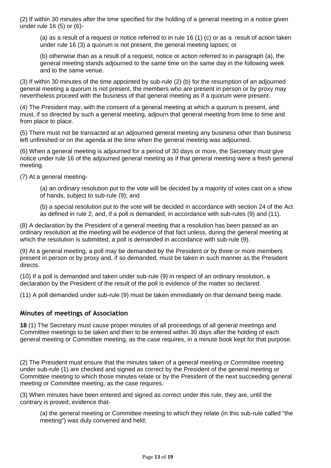(2) If within 30 minutes after the time specified for the holding of a general meeting in a notice given under rule 16 (5) or (6)-

(a) as a result of a request or notice referred to in rule 16 (1) (c) or as a result of action taken under rule 16 (3) a quorum is not present, the general meeting lapses; or

(b) otherwise than as a result of a request, notice or action referred to in paragraph (a), the general meeting stands adjourned to the same time on the same day in the following week and to the same venue.

(3) If within 30 minutes of the time appointed by sub-rule (2) (b) for the resumption of an adjourned general meeting a quorum is not present, the members who are present in person or by proxy may nevertheless proceed with the business of that general meeting as if a quorum were present.

(4) The President may, with the consent of a general meeting at which a quorum is present, and must, if so directed by such a general meeting, adjourn that general meeting from time to time and from place to place.

(5) There must not be transacted at an adjourned general meeting any business other than business left unfinished or on the agenda at the time when the general meeting was adjourned.

(6) When a general meeting is adjourned for a period of 30 days or more, the Secretary must give notice under rule 16 of the adjourned general meeting as if that general meeting were a fresh general meeting.

(7) At a general meeting-

(a) an ordinary resolution put to the vote will be decided by a majority of votes cast on a show of hands, subject to sub-rule (9); and

(b) a special resolution put to the vote will be decided in accordance with section 24 of the Act as defined in rule 2, and, if a poll is demanded, in accordance with sub-rules (9) and (11).

(8) A declaration by the President of a general meeting that a resolution has been passed as an ordinary resolution at the meeting will be evidence of that fact unless, during the general meeting at which the resolution is submitted, a poll is demanded in accordance with sub-rule (9).

(9) At a general meeting, a poll may be demanded by the President or by three or more members present in person or by proxy and, if so demanded, must be taken in such manner as the President directs.

(10) If a poll is demanded and taken under sub-rule (9) in respect of an ordinary resolution, a declaration by the President of the result of the poll is evidence of the matter so declared.

(11) A poll demanded under sub-rule (9) must be taken immediately on that demand being made.

#### <span id="page-12-0"></span>**Minutes of meetings of Association**

**18** (1) The Secretary must cause proper minutes of all proceedings of all general meetings and Committee meetings to be taken and then to be entered within 30 days after the holding of each general meeting or Committee meeting, as the case requires, in a minute book kept for that purpose.

(2) The President must ensure that the minutes taken of a general meeting or Committee meeting under sub-rule (1) are checked and signed as correct by the President of the general meeting or Committee meeting to which those minutes relate or by the President of the next succeeding general meeting or Committee meeting, as the case requires.

(3) When minutes have been entered and signed as correct under this rule, they are, until the contrary is proved, evidence that-

(a) the general meeting or Committee meeting to which they relate (in this sub-rule called "the meeting") was duly convened and held;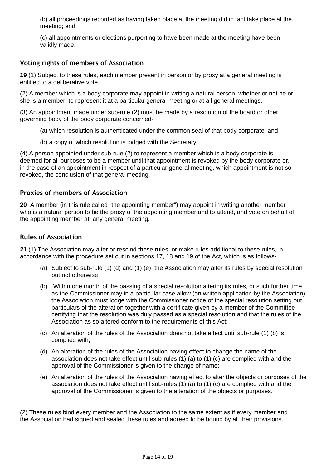(b) all proceedings recorded as having taken place at the meeting did in fact take place at the meeting; and

(c) all appointments or elections purporting to have been made at the meeting have been validly made.

#### <span id="page-13-0"></span>**Voting rights of members of Association**

**19** (1) Subject to these rules, each member present in person or by proxy at a general meeting is entitled to a deliberative vote.

(2) A member which is a body corporate may appoint in writing a natural person, whether or not he or she is a member, to represent it at a particular general meeting or at all general meetings.

(3) An appointment made under sub-rule (2) must be made by a resolution of the board or other governing body of the body corporate concerned-

- (a) which resolution is authenticated under the common seal of that body corporate; and
- (b) a copy of which resolution is lodged with the Secretary.

(4) A person appointed under sub-rule (2) to represent a member which is a body corporate is deemed for all purposes to be a member until that appointment is revoked by the body corporate or, in the case of an appointment in respect of a particular general meeting, which appointment is not so revoked, the conclusion of that general meeting.

#### <span id="page-13-1"></span>**Proxies of members of Association**

**20** A member (in this rule called "the appointing member") may appoint in writing another member who is a natural person to be the proxy of the appointing member and to attend, and vote on behalf of the appointing member at, any general meeting.

#### <span id="page-13-2"></span>**Rules of Association**

**21** (1) The Association may alter or rescind these rules, or make rules additional to these rules, in accordance with the procedure set out in sections 17, 18 and 19 of the Act, which is as follows-

- (a) Subject to sub-rule (1) (d) and (1) (e), the Association may alter its rules by special resolution but not otherwise;
- (b) Within one month of the passing of a special resolution altering its rules, or such further time as the Commissioner may in a particular case allow (on written application by the Association), the Association must lodge with the Commissioner notice of the special resolution setting out particulars of the alteration together with a certificate given by a member of the Committee certifying that the resolution was duly passed as a special resolution and that the rules of the Association as so altered conform to the requirements of this Act;
- (c) An alteration of the rules of the Association does not take effect until sub-rule (1) (b) is complied with;
- (d) An alteration of the rules of the Association having effect to change the name of the association does not take effect until sub-rules (1) (a) to (1) (c) are complied with and the approval of the Commissioner is given to the change of name;
- (e) An alteration of the rules of the Association having effect to alter the objects or purposes of the association does not take effect until sub-rules (1) (a) to (1) (c) are complied with and the approval of the Commissioner is given to the alteration of the objects or purposes.

(2) These rules bind every member and the Association to the same extent as if every member and the Association had signed and sealed these rules and agreed to be bound by all their provisions.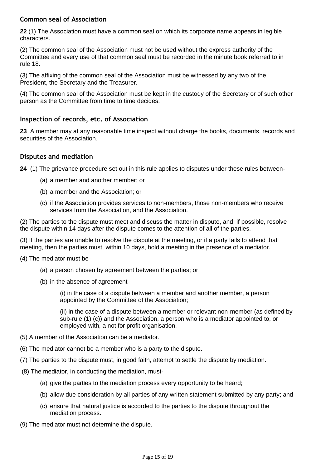#### <span id="page-14-0"></span>**Common seal of Association**

**22** (1) The Association must have a common seal on which its corporate name appears in legible characters.

(2) The common seal of the Association must not be used without the express authority of the Committee and every use of that common seal must be recorded in the minute book referred to in rule 18.

(3) The affixing of the common seal of the Association must be witnessed by any two of the President, the Secretary and the Treasurer.

(4) The common seal of the Association must be kept in the custody of the Secretary or of such other person as the Committee from time to time decides.

#### <span id="page-14-1"></span>**Inspection of records, etc. of Association**

**23** A member may at any reasonable time inspect without charge the books, documents, records and securities of the Association.

#### <span id="page-14-2"></span>**Disputes and mediation**

**24** (1) The grievance procedure set out in this rule applies to disputes under these rules between-

- (a) a member and another member; or
- (b) a member and the Association; or
- (c) if the Association provides services to non-members, those non-members who receive services from the Association, and the Association.

(2) The parties to the dispute must meet and discuss the matter in dispute, and, if possible, resolve the dispute within 14 days after the dispute comes to the attention of all of the parties.

(3) If the parties are unable to resolve the dispute at the meeting, or if a party fails to attend that meeting, then the parties must, within 10 days, hold a meeting in the presence of a mediator.

- (4) The mediator must be-
	- (a) a person chosen by agreement between the parties; or
	- (b) in the absence of agreement-

(i) in the case of a dispute between a member and another member, a person appointed by the Committee of the Association;

(ii) in the case of a dispute between a member or relevant non-member (as defined by sub-rule (1) (c)) and the Association, a person who is a mediator appointed to, or employed with, a not for profit organisation.

- (5) A member of the Association can be a mediator.
- (6) The mediator cannot be a member who is a party to the dispute.
- (7) The parties to the dispute must, in good faith, attempt to settle the dispute by mediation.
- (8) The mediator, in conducting the mediation, must-
	- (a) give the parties to the mediation process every opportunity to be heard;
	- (b) allow due consideration by all parties of any written statement submitted by any party; and
	- (c) ensure that natural justice is accorded to the parties to the dispute throughout the mediation process.
- (9) The mediator must not determine the dispute.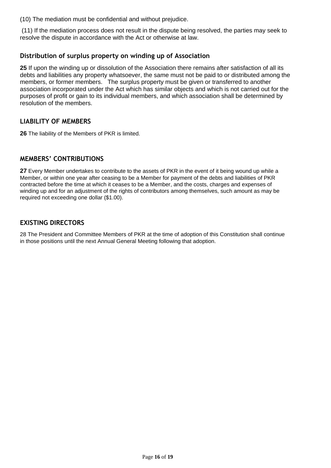(10) The mediation must be confidential and without prejudice.

(11) If the mediation process does not result in the dispute being resolved, the parties may seek to resolve the dispute in accordance with the Act or otherwise at law.

#### <span id="page-15-0"></span>**Distribution of surplus property on winding up of Association**

**25** If upon the winding up or dissolution of the Association there remains after satisfaction of all its debts and liabilities any property whatsoever, the same must not be paid to or distributed among the members, or former members. The surplus property must be given or transferred to another association incorporated under the Act which has similar objects and which is not carried out for the purposes of profit or gain to its individual members, and which association shall be determined by resolution of the members.

#### <span id="page-15-1"></span>**LIABILITY OF MEMBERS**

**26** The liability of the Members of PKR is limited.

#### <span id="page-15-2"></span>**MEMBERS' CONTRIBUTIONS**

**27** Every Member undertakes to contribute to the assets of PKR in the event of it being wound up while a Member, or within one year after ceasing to be a Member for payment of the debts and liabilities of PKR contracted before the time at which it ceases to be a Member, and the costs, charges and expenses of winding up and for an adjustment of the rights of contributors among themselves, such amount as may be required not exceeding one dollar (\$1.00).

#### <span id="page-15-3"></span>**EXISTING DIRECTORS**

28 The President and Committee Members of PKR at the time of adoption of this Constitution shall continue in those positions until the next Annual General Meeting following that adoption.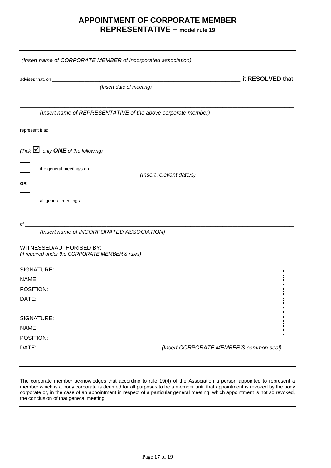#### **APPOINTMENT OF CORPORATE MEMBER REPRESENTATIVE – model rule 19**

| (Insert name of CORPORATE MEMBER of incorporated association)                                                                                                                                                                                                               |                                         |
|-----------------------------------------------------------------------------------------------------------------------------------------------------------------------------------------------------------------------------------------------------------------------------|-----------------------------------------|
|                                                                                                                                                                                                                                                                             | , it RESOLVED that                      |
| (Insert date of meeting)                                                                                                                                                                                                                                                    |                                         |
| (Insert name of REPRESENTATIVE of the above corporate member)                                                                                                                                                                                                               |                                         |
| represent it at:                                                                                                                                                                                                                                                            |                                         |
| (Tick $\blacksquare$ only <b>ONE</b> of the following)                                                                                                                                                                                                                      |                                         |
|                                                                                                                                                                                                                                                                             | (Insert relevant date/s)                |
| 0R                                                                                                                                                                                                                                                                          |                                         |
| all general meetings                                                                                                                                                                                                                                                        |                                         |
| of the contract of the contract of the contract of the contract of the contract of the contract of the contract of the contract of the contract of the contract of the contract of the contract of the contract of the contrac<br>(Insert name of INCORPORATED ASSOCIATION) |                                         |
| WITNESSED/AUTHORISED BY:<br>(if required under the CORPORATE MEMBER'S rules)                                                                                                                                                                                                |                                         |
| SIGNATURE:                                                                                                                                                                                                                                                                  |                                         |
| NAME:                                                                                                                                                                                                                                                                       |                                         |
| POSITION:                                                                                                                                                                                                                                                                   |                                         |
| DATE:                                                                                                                                                                                                                                                                       |                                         |
| SIGNATURE:                                                                                                                                                                                                                                                                  |                                         |
| NAME:                                                                                                                                                                                                                                                                       |                                         |
| POSITION:                                                                                                                                                                                                                                                                   |                                         |
| DATE:                                                                                                                                                                                                                                                                       | (Insert CORPORATE MEMBER'S common seal) |

The corporate member acknowledges that according to rule 19(4) of the Association a person appointed to represent a member which is a body corporate is deemed for all purposes to be a member until that appointment is revoked by the body corporate or, in the case of an appointment in respect of a particular general meeting, which appointment is not so revoked, the conclusion of that general meeting.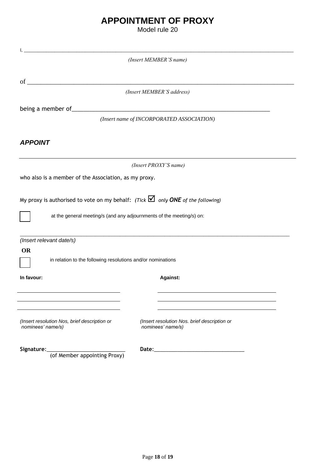## **APPOINTMENT OF PROXY**

Model rule 20

| $\mathbf{I}_{\mathbf{A}}$                                                                      |  |  |  |  |
|------------------------------------------------------------------------------------------------|--|--|--|--|
| (Insert MEMBER'S name)                                                                         |  |  |  |  |
|                                                                                                |  |  |  |  |
|                                                                                                |  |  |  |  |
| (Insert MEMBER'S address)                                                                      |  |  |  |  |
| being a member of_<br><u> 1989 - Johann John Stein, mars an deus Amerikaansk kommunister (</u> |  |  |  |  |
| (Insert name of INCORPORATED ASSOCIATION)                                                      |  |  |  |  |
|                                                                                                |  |  |  |  |
| <b>APPOINT</b>                                                                                 |  |  |  |  |
|                                                                                                |  |  |  |  |
| (Insert PROXY'S name)                                                                          |  |  |  |  |
| who also is a member of the Association, as my proxy.                                          |  |  |  |  |
|                                                                                                |  |  |  |  |
| My proxy is authorised to vote on my behalf: (Tick $\Box$ only ONE of the following)           |  |  |  |  |
|                                                                                                |  |  |  |  |
| at the general meeting/s (and any adjournments of the meeting/s) on:                           |  |  |  |  |
|                                                                                                |  |  |  |  |
| (Insert relevant date/s)                                                                       |  |  |  |  |
| <b>OR</b>                                                                                      |  |  |  |  |
| in relation to the following resolutions and/or nominations                                    |  |  |  |  |
| <b>Against:</b><br>In favour:                                                                  |  |  |  |  |
|                                                                                                |  |  |  |  |
|                                                                                                |  |  |  |  |
|                                                                                                |  |  |  |  |
| (Insert resolution Nos, brief description or<br>(Insert resolution Nos. brief description or   |  |  |  |  |
| nominees' name/s)<br>nominees' name/s)                                                         |  |  |  |  |
|                                                                                                |  |  |  |  |
| Signature:<br>(of Member appointing Proxy)                                                     |  |  |  |  |
|                                                                                                |  |  |  |  |